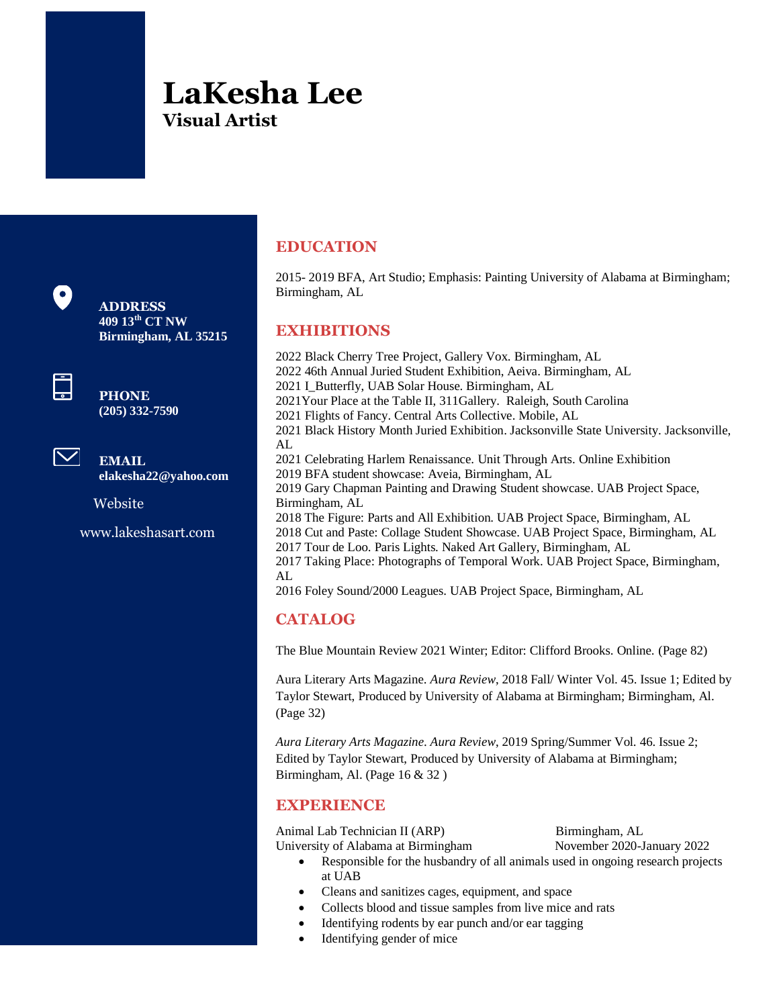# **LaKesha Lee Visual Artist**



**Birmingham, AL 35215**



**PHONE (205) 332-7590**



**EMAIL elakesha22@yahoo.com**

Website

www.lakeshasart.com

## **EDUCATION**

2015- 2019 BFA, Art Studio; Emphasis: Painting University of Alabama at Birmingham; Birmingham, AL

### **EXHIBITIONS**

2022 Black Cherry Tree Project, Gallery Vox. Birmingham, AL 2022 46th Annual Juried Student Exhibition, Aeiva. Birmingham, AL 2021 I\_Butterfly, UAB Solar House. Birmingham, AL 2021Your Place at the Table II, 311Gallery. Raleigh, South Carolina 2021 Flights of Fancy. Central Arts Collective. Mobile, AL 2021 Black History Month Juried Exhibition. Jacksonville State University. Jacksonville, AL. 2021 Celebrating Harlem Renaissance. Unit Through Arts. Online Exhibition 2019 BFA student showcase: Aveia, Birmingham, AL 2019 Gary Chapman Painting and Drawing Student showcase. UAB Project Space, Birmingham, AL 2018 The Figure: Parts and All Exhibition. UAB Project Space, Birmingham, AL 2018 Cut and Paste: Collage Student Showcase. UAB Project Space, Birmingham, AL 2017 Tour de Loo. Paris Lights. Naked Art Gallery, Birmingham, AL 2017 Taking Place: Photographs of Temporal Work. UAB Project Space, Birmingham, AL 2016 Foley Sound/2000 Leagues. UAB Project Space, Birmingham, AL

### **CATALOG**

The Blue Mountain Review 2021 Winter; Editor: Clifford Brooks. Online. (Page 82)

Aura Literary Arts Magazine. *Aura Review*, 2018 Fall/ Winter Vol. 45. Issue 1; Edited by Taylor Stewart, Produced by University of Alabama at Birmingham; Birmingham, Al. (Page 32)

*Aura Literary Arts Magazine*. *Aura Review*, 2019 Spring/Summer Vol. 46. Issue 2; Edited by Taylor Stewart, Produced by University of Alabama at Birmingham; Birmingham, Al. (Page 16 & 32 )

### **EXPERIENCE**

Animal Lab Technician II (ARP) Birmingham, AL University of Alabama at Birmingham November 2020-January 2022

- Responsible for the husbandry of all animals used in ongoing research projects at UAB
- Cleans and sanitizes cages, equipment, and space
- Collects blood and tissue samples from live mice and rats
- Identifying rodents by ear punch and/or ear tagging
- Identifying gender of mice